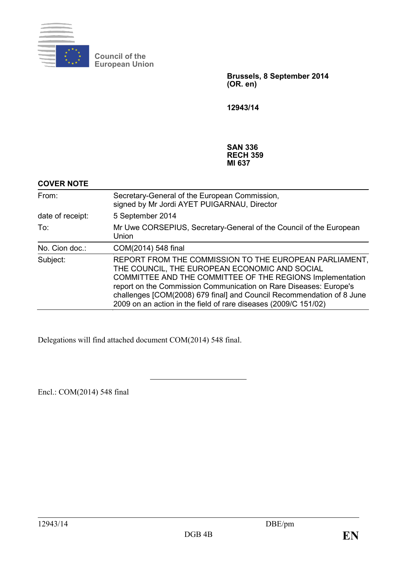

**Council of the European Union**

> **Brussels, 8 September 2014 (OR. en)**

**12943/14**

#### **SAN 336 RECH 359 MI 637**

| <b>COVER NOTE</b> |                                                                                                                                                                                                                                                                                                                                                                                       |
|-------------------|---------------------------------------------------------------------------------------------------------------------------------------------------------------------------------------------------------------------------------------------------------------------------------------------------------------------------------------------------------------------------------------|
| From:             | Secretary-General of the European Commission,<br>signed by Mr Jordi AYET PUIGARNAU, Director                                                                                                                                                                                                                                                                                          |
| date of receipt:  | 5 September 2014                                                                                                                                                                                                                                                                                                                                                                      |
| To:               | Mr Uwe CORSEPIUS, Secretary-General of the Council of the European<br>Union                                                                                                                                                                                                                                                                                                           |
| No. Cion doc.:    | COM(2014) 548 final                                                                                                                                                                                                                                                                                                                                                                   |
| Subject:          | REPORT FROM THE COMMISSION TO THE EUROPEAN PARLIAMENT,<br>THE COUNCIL, THE EUROPEAN ECONOMIC AND SOCIAL<br>COMMITTEE AND THE COMMITTEE OF THE REGIONS Implementation<br>report on the Commission Communication on Rare Diseases: Europe's<br>challenges [COM(2008) 679 final] and Council Recommendation of 8 June<br>2009 on an action in the field of rare diseases (2009/C 151/02) |
|                   |                                                                                                                                                                                                                                                                                                                                                                                       |

Delegations will find attached document COM(2014) 548 final.

Encl.: COM(2014) 548 final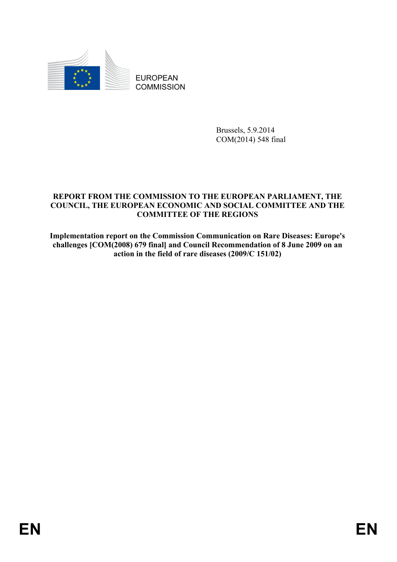

EUROPEAN **COMMISSION** 

> Brussels, 5.9.2014 COM(2014) 548 final

#### **REPORT FROM THE COMMISSION TO THE EUROPEAN PARLIAMENT, THE COUNCIL, THE EUROPEAN ECONOMIC AND SOCIAL COMMITTEE AND THE COMMITTEE OF THE REGIONS**

**Implementation report on the Commission Communication on Rare Diseases: Europe's challenges [COM(2008) 679 final] and Council Recommendation of 8 June 2009 on an action in the field of rare diseases (2009/C 151/02)**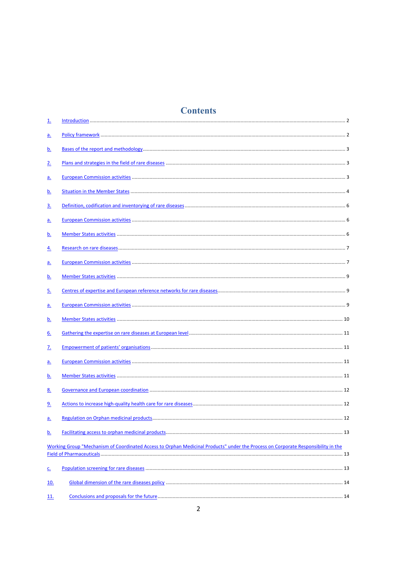# **Contents**

| <u>1.</u>                |                                                                                                                                   |
|--------------------------|-----------------------------------------------------------------------------------------------------------------------------------|
| <u>a.</u>                |                                                                                                                                   |
| <u>b.</u>                |                                                                                                                                   |
| <u>2.</u>                |                                                                                                                                   |
| <u>a.</u>                |                                                                                                                                   |
| <u>b.</u>                |                                                                                                                                   |
| <u>3.</u>                |                                                                                                                                   |
| <u>a.</u>                |                                                                                                                                   |
| <u>b.</u>                |                                                                                                                                   |
| <u>4.</u>                |                                                                                                                                   |
| <u>a.</u>                |                                                                                                                                   |
| <u>b.</u>                |                                                                                                                                   |
| <u>5.</u>                |                                                                                                                                   |
| <u>a.</u>                |                                                                                                                                   |
| <u>b.</u>                |                                                                                                                                   |
| 6.                       |                                                                                                                                   |
| <u>z.</u>                |                                                                                                                                   |
| <u>a.</u>                |                                                                                                                                   |
| <u>b.</u>                |                                                                                                                                   |
| <u>8.</u>                |                                                                                                                                   |
| <u>9.</u>                |                                                                                                                                   |
| <u>a.</u>                |                                                                                                                                   |
| <u>b.</u>                |                                                                                                                                   |
|                          | Working Group "Mechanism of Coordinated Access to Orphan Medicinal Products" under the Process on Corporate Responsibility in the |
|                          |                                                                                                                                   |
| $\underline{\mathsf{C}}$ |                                                                                                                                   |
| <u> 10.</u>              |                                                                                                                                   |
| <u> 11.</u>              |                                                                                                                                   |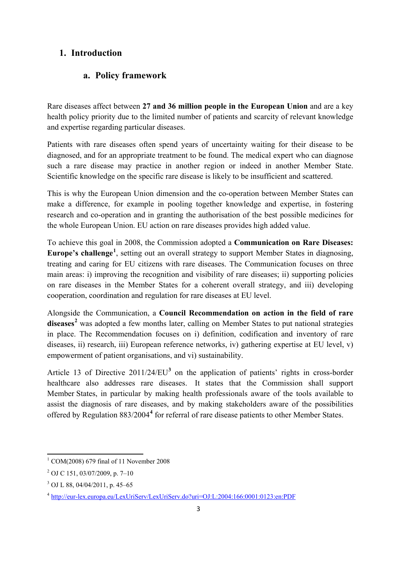### **1. Introduction**

### **a. Policy framework**

Rare diseases affect between **27 and 36 million people in the European Union** and are a key health policy priority due to the limited number of patients and scarcity of relevant knowledge and expertise regarding particular diseases.

Patients with rare diseases often spend years of uncertainty waiting for their disease to be diagnosed, and for an appropriate treatment to be found. The medical expert who can diagnose such a rare disease may practice in another region or indeed in another Member State. Scientific knowledge on the specific rare disease is likely to be insufficient and scattered.

This is why the European Union dimension and the co-operation between Member States can make a difference, for example in pooling together knowledge and expertise, in fostering research and co-operation and in granting the authorisation of the best possible medicines for the whole European Union. EU action on rare diseases provides high added value.

To achieve this goal in 2008, the Commission adopted a **Communication on Rare Diseases:**  Europe's challenge<sup>[1](#page-3-0)</sup>, setting out an overall strategy to support Member States in diagnosing, treating and caring for EU citizens with rare diseases. The Communication focuses on three main areas: i) improving the recognition and visibility of rare diseases; ii) supporting policies on rare diseases in the Member States for a coherent overall strategy, and iii) developing cooperation, coordination and regulation for rare diseases at EU level.

Alongside the Communication, a **Council Recommendation on action in the field of rare diseases[2](#page-3-1)** was adopted a few months later, calling on Member States to put national strategies in place. The Recommendation focuses on i) definition, codification and inventory of rare diseases, ii) research, iii) European reference networks, iv) gathering expertise at EU level, v) empowerment of patient organisations, and vi) sustainability.

Article 13 of Directive 2011/24/EU**[3](#page-3-2)** on the application of patients' rights in cross-border healthcare also addresses rare diseases. It states that the Commission shall support Member States, in particular by making health professionals aware of the tools available to assist the diagnosis of rare diseases, and by making stakeholders aware of the possibilities offered by Regulation 883/2004**[4](#page-3-3)** for referral of rare disease patients to other Member States.

 $\overline{a}$ 

<span id="page-3-0"></span> $1$  COM(2008) 679 final of 11 November 2008

<span id="page-3-1"></span><sup>2</sup> OJ C 151, 03/07/2009, p. 7–10

<span id="page-3-2"></span><sup>3</sup> OJ L 88, 04/04/2011, p. 45–65

<span id="page-3-3"></span><sup>4</sup> <http://eur-lex.europa.eu/LexUriServ/LexUriServ.do?uri=OJ:L:2004:166:0001:0123:en:PDF>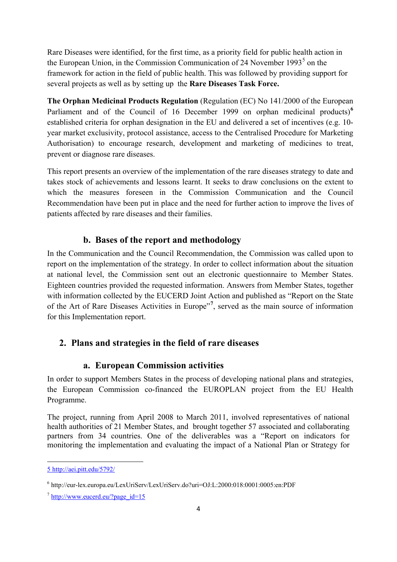Rare Diseases were identified, for the first time, as a priority field for public health action in the European Union, in the Commission Communication of 24 November 1993 $<sup>5</sup>$  $<sup>5</sup>$  $<sup>5</sup>$  on the</sup> framework for action in the field of public health. This was followed by providing support for several projects as well as by setting up the **Rare Diseases Task Force.** 

**The Orphan Medicinal Products Regulation** (Regulation (EC) No 141/2000 of the European Parliament and of the Council of 1[6](#page-4-1) December 1999 on orphan medicinal products)<sup>6</sup> established criteria for orphan designation in the EU and delivered a set of incentives (e.g. 10 year market exclusivity, protocol assistance, access to the Centralised Procedure for Marketing Authorisation) to encourage research, development and marketing of medicines to treat, prevent or diagnose rare diseases.

This report presents an overview of the implementation of the rare diseases strategy to date and takes stock of achievements and lessons learnt. It seeks to draw conclusions on the extent to which the measures foreseen in the Commission Communication and the Council Recommendation have been put in place and the need for further action to improve the lives of patients affected by rare diseases and their families.

### **b. Bases of the report and methodology**

In the Communication and the Council Recommendation, the Commission was called upon to report on the implementation of the strategy. In order to collect information about the situation at national level, the Commission sent out an electronic questionnaire to Member States. Eighteen countries provided the requested information. Answers from Member States, together with information collected by the EUCERD Joint Action and published as "Report on the State of the Art of Rare Diseases Activities in Europe<sup>[7](#page-4-2)7</sup>, served as the main source of information for this Implementation report.

## **2. Plans and strategies in the field of rare diseases**

### **a. European Commission activities**

In order to support Members States in the process of developing national plans and strategies, the European Commission co-financed the EUROPLAN project from the EU Health Programme.

The project, running from April 2008 to March 2011, involved representatives of national health authorities of 21 Member States, and brought together 57 associated and collaborating partners from 34 countries. One of the deliverables was a "Report on indicators for monitoring the implementation and evaluating the impact of a National Plan or Strategy for

<span id="page-4-0"></span><sup>5</sup> http://aei.pitt.edu/5792/ **.** 

<span id="page-4-1"></span><sup>6</sup> http://eur-lex.europa.eu/LexUriServ/LexUriServ.do?uri=OJ:L:2000:018:0001:0005:en:PDF

<span id="page-4-2"></span> $\frac{7 \text{ http://www.eucerd.eu/?page}}{1}$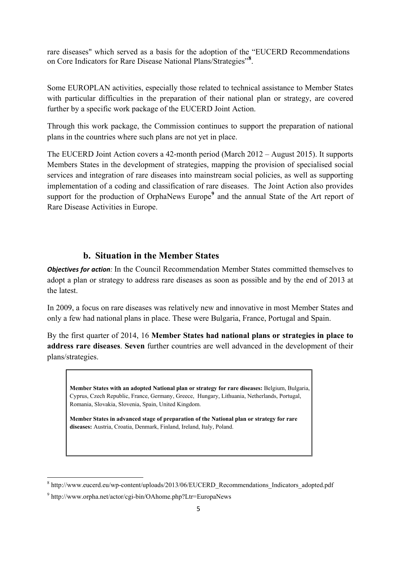rare diseases" which served as a basis for the adoption of the "EUCERD Recommendations on Core Indicators for Rare Disease National Plans/Strategies"**[8](#page-5-0)** .

Some EUROPLAN activities, especially those related to technical assistance to Member States with particular difficulties in the preparation of their national plan or strategy, are covered further by a specific work package of the EUCERD Joint Action.

Through this work package, the Commission continues to support the preparation of national plans in the countries where such plans are not yet in place.

The EUCERD Joint Action covers a 42-month period (March 2012 – August 2015). It supports Members States in the development of strategies, mapping the provision of specialised social services and integration of rare diseases into mainstream social policies, as well as supporting implementation of a coding and classification of rare diseases. The Joint Action also provides support for the production of OrphaNews Europe<sup>[9](#page-5-1)</sup> and the annual State of the Art report of Rare Disease Activities in Europe.

## **b. Situation in the Member States**

*Objectives for action:* In the Council Recommendation Member States committed themselves to adopt a plan or strategy to address rare diseases as soon as possible and by the end of 2013 at the latest.

In 2009, a focus on rare diseases was relatively new and innovative in most Member States and only a few had national plans in place. These were Bulgaria, France, Portugal and Spain.

By the first quarter of 2014, 16 **Member States had national plans or strategies in place to address rare diseases**. **Seven** further countries are well advanced in the development of their plans/strategies.

**Member States with an adopted National plan or strategy for rare diseases:** Belgium, Bulgaria, Cyprus, Czech Republic, France, Germany, Greece, Hungary, Lithuania, Netherlands, Portugal, Romania, Slovakia, Slovenia, Spain, United Kingdom.

**Member States in advanced stage of preparation of the National plan or strategy for rare diseases:** Austria, Croatia, Denmark, Finland, Ireland, Italy, Poland.

<span id="page-5-0"></span><sup>&</sup>lt;sup>8</sup> http://www.eucerd.eu/wp-content/uploads/2013/06/EUCERD\_Recommendations\_Indicators\_adopted.pdf

<span id="page-5-1"></span><sup>9</sup> http://www.orpha.net/actor/cgi-bin/OAhome.php?Ltr=EuropaNews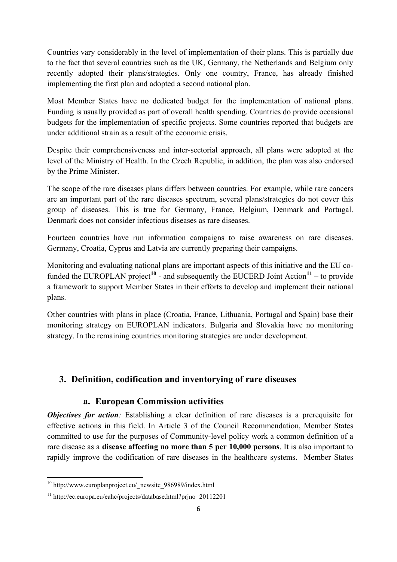Countries vary considerably in the level of implementation of their plans. This is partially due to the fact that several countries such as the UK, Germany, the Netherlands and Belgium only recently adopted their plans/strategies. Only one country, France, has already finished implementing the first plan and adopted a second national plan.

Most Member States have no dedicated budget for the implementation of national plans. Funding is usually provided as part of overall health spending. Countries do provide occasional budgets for the implementation of specific projects. Some countries reported that budgets are under additional strain as a result of the economic crisis.

Despite their comprehensiveness and inter-sectorial approach, all plans were adopted at the level of the Ministry of Health. In the Czech Republic, in addition, the plan was also endorsed by the Prime Minister.

The scope of the rare diseases plans differs between countries. For example, while rare cancers are an important part of the rare diseases spectrum, several plans/strategies do not cover this group of diseases. This is true for Germany, France, Belgium, Denmark and Portugal. Denmark does not consider infectious diseases as rare diseases.

Fourteen countries have run information campaigns to raise awareness on rare diseases. Germany, Croatia, Cyprus and Latvia are currently preparing their campaigns.

Monitoring and evaluating national plans are important aspects of this initiative and the EU co-funded the EUROPLAN project<sup>[10](#page-6-0)</sup> - and subsequently the EUCERD Joint Action<sup>[11](#page-6-1)</sup> – to provide a framework to support Member States in their efforts to develop and implement their national plans.

Other countries with plans in place (Croatia, France, Lithuania, Portugal and Spain) base their monitoring strategy on EUROPLAN indicators. Bulgaria and Slovakia have no monitoring strategy. In the remaining countries monitoring strategies are under development.

## **3. Definition, codification and inventorying of rare diseases**

### **a. European Commission activities**

*Objectives for action:* Establishing a clear definition of rare diseases is a prerequisite for effective actions in this field. In Article 3 of the Council Recommendation, Member States committed to use for the purposes of Community-level policy work a common definition of a rare disease as a **disease affecting no more than 5 per 10,000 persons**. It is also important to rapidly improve the codification of rare diseases in the healthcare systems. Member States

<span id="page-6-0"></span><sup>10</sup> http://www.europlanproject.eu/\_newsite\_986989/index.html **.** 

<span id="page-6-1"></span><sup>11</sup> http://ec.europa.eu/eahc/projects/database.html?prjno=20112201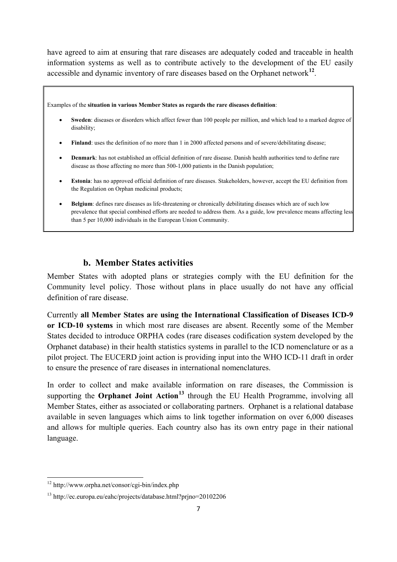have agreed to aim at ensuring that rare diseases are adequately coded and traceable in health information systems as well as to contribute actively to the development of the EU easily accessible and dynamic inventory of rare diseases based on the Orphanet network**[12](#page-7-0)**.

Examples of the **situation in various Member States as regards the rare diseases definition**:

- **Sweden**: diseases or disorders which affect fewer than 100 people per million, and which lead to a marked degree of disability;
- **Finland**: uses the definition of no more than 1 in 2000 affected persons and of severe/debilitating disease;
- **Denmark**: has not established an official definition of rare disease. Danish health authorities tend to define rare disease as those affecting no more than 500-1,000 patients in the Danish population;
- **Estonia**: has no approved official definition of rare diseases. Stakeholders, however, accept the EU definition from the Regulation on Orphan medicinal products;
- **Belgium**: defines rare diseases as life-threatening or chronically debilitating diseases which are of such low prevalence that special combined efforts are needed to address them. As a guide, low prevalence means affecting less than 5 per 10,000 individuals in the European Union Community.

### **b. Member States activities**

Member States with adopted plans or strategies comply with the EU definition for the Community level policy. Those without plans in place usually do not have any official definition of rare disease.

Currently **all Member States are using the International Classification of Diseases ICD-9 or ICD-10 systems** in which most rare diseases are absent. Recently some of the Member States decided to introduce ORPHA codes (rare diseases codification system developed by the Orphanet database) in their health statistics systems in parallel to the ICD nomenclature or as a pilot project. The EUCERD joint action is providing input into the WHO ICD-11 draft in order to ensure the presence of rare diseases in international nomenclatures.

In order to collect and make available information on rare diseases, the Commission is supporting the **Orphanet Joint Action[13](#page-7-1)** through the EU Health Programme, involving all Member States, either as associated or collaborating partners. Orphanet is a relational database available in seven languages which aims to link together information on over 6,000 diseases and allows for multiple queries. Each country also has its own entry page in their national language.

<span id="page-7-0"></span><sup>&</sup>lt;sup>12</sup> http://www.orpha.net/consor/cgi-bin/index.php

<span id="page-7-1"></span><sup>13</sup> http://ec.europa.eu/eahc/projects/database.html?prjno=20102206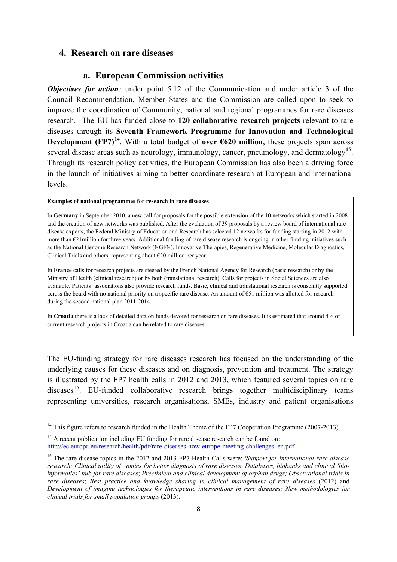#### **4. Research on rare diseases**

#### **a. European Commission activities**

*Objectives for action:* under point 5.12 of the Communication and under article 3 of the Council Recommendation, Member States and the Commission are called upon to seek to improve the coordination of Community, national and regional programmes for rare diseases research. The EU has funded close to **120 collaborative research projects** relevant to rare diseases through its **Seventh Framework Programme for Innovation and Technological Development (FP7)<sup>[14](#page-8-0)</sup>**. With a total budget of **over**  $\epsilon$ **620 million**, these projects span across several disease areas such as neurology, immunology, cancer, pneumology, and dermatology**[15](#page-8-1)**. Through its research policy activities, the European Commission has also been a driving force in the launch of initiatives aiming to better coordinate research at European and international levels.

#### **Examples of national programmes for research in rare diseases**

**.** 

In **Germany** in September 2010, a new call for proposals for the possible extension of the 10 networks which started in 2008 and the creation of new networks was published. After the evaluation of 39 proposals by a review board of international rare disease experts, the Federal Ministry of Education and Research has selected 12 networks for funding starting in 2012 with more than €21 million for three years. Additional funding of rare disease research is ongoing in other funding initiatives such as the National Genome Research Network (NGFN), Innovative Therapies, Regenerative Medicine, Molecular Diagnostics, Clinical Trials and others, representing about  $\epsilon$ 20 million per year.

In **France** calls for research projects are steered by the French National Agency for Research (basic research) or by the Ministry of Health (clinical research) or by both (translational research). Calls for projects in Social Sciences are also available. Patients' associations also provide research funds. Basic, clinical and translational research is constantly supported across the board with no national priority on a specific rare disease. An amount of €51 million was allotted for research during the second national plan 2011-2014.

In **Croatia** there is a lack of detailed data on funds devoted for research on rare diseases. It is estimated that around 4% of current research projects in Croatia can be related to rare diseases.

The EU-funding strategy for rare diseases research has focused on the understanding of the underlying causes for these diseases and on diagnosis, prevention and treatment. The strategy is illustrated by the FP7 health calls in 2012 and 2013, which featured several topics on rare  $diseases<sup>16</sup>$ . EU-funded collaborative research brings together multidisciplinary teams representing universities, research organisations, SMEs, industry and patient organisations

<span id="page-8-0"></span><sup>&</sup>lt;sup>14</sup> This figure refers to research funded in the Health Theme of the FP7 Cooperation Programme (2007-2013).

<span id="page-8-1"></span> $15$  A recent publication including EU funding for rare disease research can be found on: [http://ec.europa.eu/research/health/pdf/rare-diseases-how-europe-meeting-challenges\\_en.pdf](http://ec.europa.eu/research/health/pdf/rare-diseases-how-europe-meeting-challenges_en.pdf)

<span id="page-8-2"></span><sup>16</sup> The rare disease topics in the 2012 and 2013 FP7 Health Calls were: *'Support for international rare disease research; Clinical utility of –omics for better diagnosis of rare diseases*; *Databases, biobanks and clinical 'bioinformatics' hub for rare diseases*; *Preclinical and clinical development of orphan drugs; Observational trials in rare diseases*; *Best practice and knowledge sharing in clinical management of rare diseases* (2012) and *Development of imaging technologies for therapeutic interventions in rare diseases; New methodologies for clinical trials for small population groups* (2013).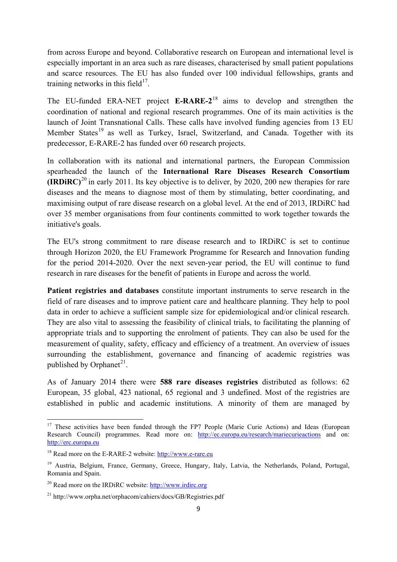from across Europe and beyond. Collaborative research on European and international level is especially important in an area such as rare diseases, characterised by small patient populations and scarce resources. The EU has also funded over 100 individual fellowships, grants and training networks in this field $17$ .

The EU-funded ERA-NET project **E-RARE-2**[18](#page-9-1) aims to develop and strengthen the coordination of national and regional research programmes. One of its main activities is the launch of Joint Transnational Calls. These calls have involved funding agencies from 13 EU Member States<sup>[19](#page-9-2)</sup> as well as Turkey, Israel, Switzerland, and Canada. Together with its predecessor, E-RARE-2 has funded over 60 research projects.

In collaboration with its national and international partners, the European Commission spearheaded the launch of the **International Rare Diseases Research Consortium (IRDiRC)**[20](#page-9-3) in early 2011. Its key objective is to deliver, by 2020, 200 new therapies for rare diseases and the means to diagnose most of them by stimulating, better coordinating, and maximising output of rare disease research on a global level. At the end of 2013, IRDiRC had over 35 member organisations from four continents committed to work together towards the initiative's goals.

The EU's strong commitment to rare disease research and to IRDiRC is set to continue through Horizon 2020, the EU Framework Programme for Research and Innovation funding for the period 2014-2020. Over the next seven-year period, the EU will continue to fund research in rare diseases for the benefit of patients in Europe and across the world.

**Patient registries and databases** constitute important instruments to serve research in the field of rare diseases and to improve patient care and healthcare planning. They help to pool data in order to achieve a sufficient sample size for epidemiological and/or clinical research. They are also vital to assessing the feasibility of clinical trials, to facilitating the planning of appropriate trials and to supporting the enrolment of patients. They can also be used for the measurement of quality, safety, efficacy and efficiency of a treatment. An overview of issues surrounding the establishment, governance and financing of academic registries was published by Orphanet<sup>21</sup>.

As of January 2014 there were **588 rare diseases registries** distributed as follows: 62 European, 35 global, 423 national, 65 regional and 3 undefined. Most of the registries are established in public and academic institutions. A minority of them are managed by

<span id="page-9-0"></span><sup>&</sup>lt;sup>17</sup> These activities have been funded through the FP7 People (Marie Curie Actions) and Ideas (European Research Council) programmes. Read more on: <http://ec.europa.eu/research/mariecurieactions> and on: [http://erc.europa.eu](http://erc.europa.eu/)

<span id="page-9-1"></span><sup>&</sup>lt;sup>18</sup> Read more on the E-RARE-2 website: [http://www.e-rare.eu](http://www.e-rare.eu/)

<span id="page-9-2"></span><sup>&</sup>lt;sup>19</sup> Austria, Belgium, France, Germany, Greece, Hungary, Italy, Latvia, the Netherlands, Poland, Portugal, Romania and Spain.

<span id="page-9-3"></span> $20$  Read more on the IRDiRC website: [http://www.irdirc.org](http://www.irdirc.org/)

<span id="page-9-4"></span><sup>21</sup> http://www.orpha.net/orphacom/cahiers/docs/GB/Registries.pdf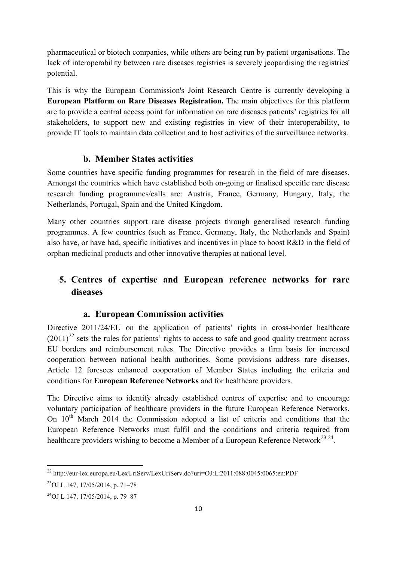pharmaceutical or biotech companies, while others are being run by patient organisations. The lack of interoperability between rare diseases registries is severely jeopardising the registries' potential.

This is why the European Commission's Joint Research Centre is currently developing a **European Platform on Rare Diseases Registration.** The main objectives for this platform are to provide a central access point for information on rare diseases patients' registries for all stakeholders, to support new and existing registries in view of their interoperability, to provide IT tools to maintain data collection and to host activities of the surveillance networks.

#### **b. Member States activities**

Some countries have specific funding programmes for research in the field of rare diseases. Amongst the countries which have established both on-going or finalised specific rare disease research funding programmes/calls are: Austria, France, Germany, Hungary, Italy, the Netherlands, Portugal, Spain and the United Kingdom.

Many other countries support rare disease projects through generalised research funding programmes. A few countries (such as France, Germany, Italy, the Netherlands and Spain) also have, or have had, specific initiatives and incentives in place to boost R&D in the field of orphan medicinal products and other innovative therapies at national level.

## **5. Centres of expertise and European reference networks for rare diseases**

#### **a. European Commission activities**

Directive 2011/24/EU on the application of patients' rights in cross-border healthcare  $(2011)^{22}$  $(2011)^{22}$  $(2011)^{22}$  sets the rules for patients' rights to access to safe and good quality treatment across EU borders and reimbursement rules. The Directive provides a firm basis for increased cooperation between national health authorities. Some provisions address rare diseases. Article 12 foresees enhanced cooperation of Member States including the criteria and conditions for **European Reference Networks** and for healthcare providers.

The Directive aims to identify already established centres of expertise and to encourage voluntary participation of healthcare providers in the future European Reference Networks. On  $10<sup>th</sup>$  March 2014 the Commission adopted a list of criteria and conditions that the European Reference Networks must fulfil and the conditions and criteria required from healthcare providers wishing to become a Member of a European Reference Network<sup>[23,](#page-10-1)[24](#page-10-2)</sup>.

<span id="page-10-0"></span><sup>22</sup> http://eur-lex.europa.eu/LexUriServ/LexUriServ.do?uri=OJ:L:2011:088:0045:0065:en:PDF

<span id="page-10-1"></span><sup>23</sup>OJ L 147, 17/05/2014, p. 71–78

<span id="page-10-2"></span><sup>24</sup>OJ L 147, 17/05/2014, p. 79–87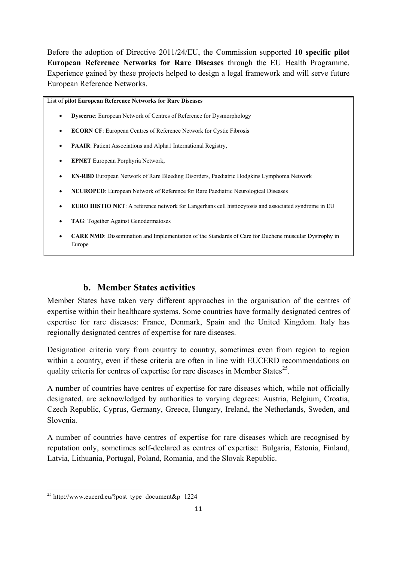Before the adoption of Directive 2011/24/EU, the Commission supported **10 specific pilot European Reference Networks for Rare Diseases** through the EU Health Programme. Experience gained by these projects helped to design a legal framework and will serve future European Reference Networks.

List of **pilot European Reference Networks for Rare Diseases**

- **Dyscerne**: European Network of Centres of Reference for Dysmorphology
- **ECORN CF**: European Centres of Reference Network for Cystic Fibrosis
- **PAAIR**: Patient Associations and Alpha1 International Registry,
- **EPNET** European Porphyria Network,
- **EN-RBD** European Network of Rare Bleeding Disorders, Paediatric Hodgkins Lymphoma Network
- **NEUROPED**: European Network of Reference for Rare Paediatric Neurological Diseases
- **EURO HISTIO NET**: A reference network for Langerhans cell histiocytosis and associated syndrome in EU
- **TAG**: Together Against Genodermatoses
- **CARE NMD**: Dissemination and Implementation of the Standards of Care for Duchene muscular Dystrophy in Europe

## **b. Member States activities**

Member States have taken very different approaches in the organisation of the centres of expertise within their healthcare systems. Some countries have formally designated centres of expertise for rare diseases: France, Denmark, Spain and the United Kingdom. Italy has regionally designated centres of expertise for rare diseases.

Designation criteria vary from country to country, sometimes even from region to region within a country, even if these criteria are often in line with EUCERD recommendations on quality criteria for centres of expertise for rare diseases in Member States<sup>25</sup>.

A number of countries have centres of expertise for rare diseases which, while not officially designated, are acknowledged by authorities to varying degrees: Austria, Belgium, Croatia, Czech Republic, Cyprus, Germany, Greece, Hungary, Ireland, the Netherlands, Sweden, and Slovenia.

A number of countries have centres of expertise for rare diseases which are recognised by reputation only, sometimes self-declared as centres of expertise: Bulgaria, Estonia, Finland, Latvia, Lithuania, Portugal, Poland, Romania, and the Slovak Republic.

 $\overline{a}$ 

<span id="page-11-0"></span><sup>&</sup>lt;sup>25</sup> http://www.eucerd.eu/?post\_type=document&p=1224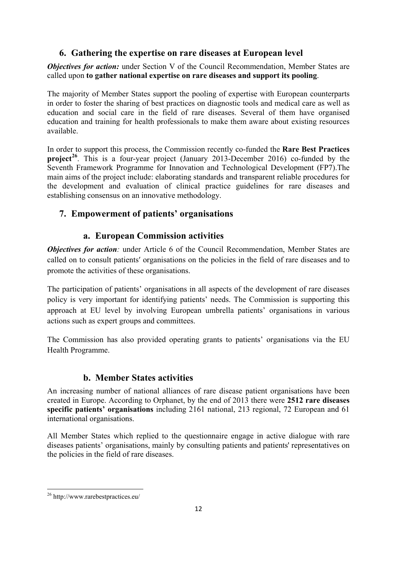## **6. Gathering the expertise on rare diseases at European level**

*Objectives for action:* under Section V of the Council Recommendation, Member States are called upon **to gather national expertise on rare diseases and support its pooling**.

The majority of Member States support the pooling of expertise with European counterparts in order to foster the sharing of best practices on diagnostic tools and medical care as well as education and social care in the field of rare diseases. Several of them have organised education and training for health professionals to make them aware about existing resources available.

In order to support this process, the Commission recently co-funded the **Rare Best Practices project**<sup>[26](#page-12-0)</sup>. This is a four-year project (January 2013-December 2016) co-funded by the Seventh Framework Programme for Innovation and Technological Development (FP7).The main aims of the project include: elaborating standards and transparent reliable procedures for the development and evaluation of clinical practice guidelines for rare diseases and establishing consensus on an innovative methodology.

## **7. Empowerment of patients' organisations**

## **a. European Commission activities**

*Objectives for action:* under Article 6 of the Council Recommendation, Member States are called on to consult patients′ organisations on the policies in the field of rare diseases and to promote the activities of these organisations.

The participation of patients' organisations in all aspects of the development of rare diseases policy is very important for identifying patients' needs. The Commission is supporting this approach at EU level by involving European umbrella patients' organisations in various actions such as expert groups and committees.

The Commission has also provided operating grants to patients' organisations via the EU Health Programme.

## **b. Member States activities**

An increasing number of national alliances of rare disease patient organisations have been created in Europe. According to Orphanet, by the end of 2013 there were **2512 rare diseases specific patients' organisations** including 2161 national, 213 regional, 72 European and 61 international organisations.

All Member States which replied to the questionnaire engage in active dialogue with rare diseases patients' organisations, mainly by consulting patients and patients' representatives on the policies in the field of rare diseases.

<span id="page-12-0"></span><sup>26</sup> http://www.rarebestpractices.eu/  $\overline{a}$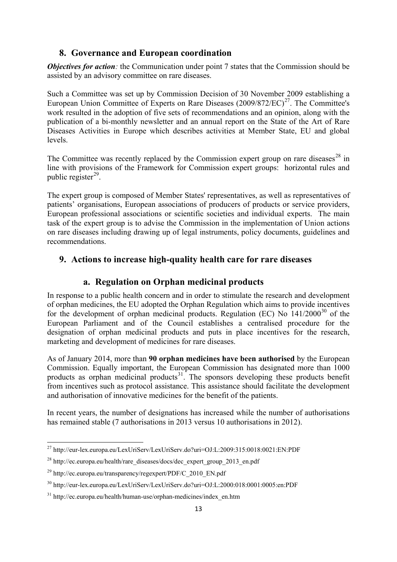### **8. Governance and European coordination**

*Objectives for action:* the Communication under point 7 states that the Commission should be assisted by an advisory committee on rare diseases.

Such a Committee was set up by Commission Decision of 30 November 2009 establishing a European Union Committee of Experts on Rare Diseases  $(2009/872/EC)^{27}$ . The Committee's work resulted in the adoption of five sets of recommendations and an opinion, along with the publication of a bi-monthly newsletter and an annual report on the State of the Art of Rare Diseases Activities in Europe which describes activities at Member State, EU and global levels.

The Committee was recently replaced by the Commission expert group on rare diseases<sup>[28](#page-13-1)</sup> in line with provisions of the Framework for Commission expert groups: horizontal rules and public register $^{29}$  $^{29}$  $^{29}$ .

The expert group is composed of Member States' representatives, as well as representatives of patients' organisations, European associations of producers of products or service providers, European professional associations or scientific societies and individual experts. The main task of the expert group is to advise the Commission in the implementation of Union actions on rare diseases including drawing up of legal instruments, policy documents, guidelines and recommendations.

### **9. Actions to increase high-quality health care for rare diseases**

### **a. Regulation on Orphan medicinal products**

In response to a public health concern and in order to stimulate the research and development of orphan medicines, the EU adopted the Orphan Regulation which aims to provide incentives for the development of orphan medicinal products. Regulation (EC) No  $141/2000^{30}$  $141/2000^{30}$  $141/2000^{30}$  of the European Parliament and of the Council establishes a centralised procedure for the designation of orphan medicinal products and puts in place incentives for the research, marketing and development of medicines for rare diseases.

As of January 2014, more than **90 orphan medicines have been authorised** by the European Commission. Equally important, the European Commission has designated more than 1000 products as orphan medicinal products<sup>31</sup>. The sponsors developing these products benefit from incentives such as protocol assistance. This assistance should facilitate the development and authorisation of innovative medicines for the benefit of the patients.

In recent years, the number of designations has increased while the number of authorisations has remained stable (7 authorisations in 2013 versus 10 authorisations in 2012).

<span id="page-13-0"></span><sup>27</sup> http://eur-lex.europa.eu/LexUriServ/LexUriServ.do?uri=OJ:L:2009:315:0018:0021:EN:PDF **.** 

<span id="page-13-1"></span><sup>&</sup>lt;sup>28</sup> http://ec.europa.eu/health/rare\_diseases/docs/dec\_expert\_group\_2013\_en.pdf

<span id="page-13-2"></span> $^{29}$  http://ec.europa.eu/transparency/regexpert/PDF/C 2010 EN.pdf

<span id="page-13-3"></span><sup>30</sup> http://eur-lex.europa.eu/LexUriServ/LexUriServ.do?uri=OJ:L:2000:018:0001:0005:en:PDF

<span id="page-13-4"></span> $31 \text{ http://ec.europa.eu/health/human-use/orphan-medicines/index_en.htm}$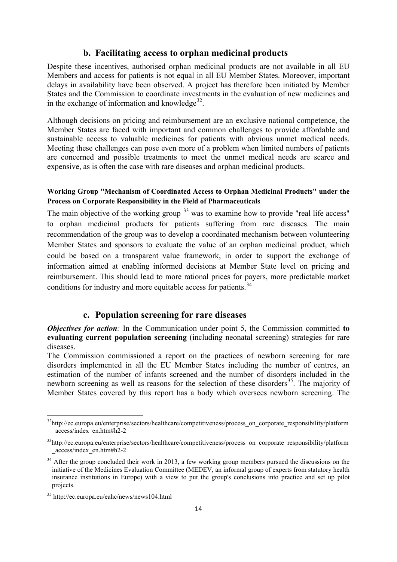#### **b. Facilitating access to orphan medicinal products**

Despite these incentives, authorised orphan medicinal products are not available in all EU Members and access for patients is not equal in all EU Member States. Moreover, important delays in availability have been observed. A project has therefore been initiated by Member States and the Commission to coordinate investments in the evaluation of new medicines and in the exchange of information and knowledge $32$ .

Although decisions on pricing and reimbursement are an exclusive national competence, the Member States are faced with important and common challenges to provide affordable and sustainable access to valuable medicines for patients with obvious unmet medical needs. Meeting these challenges can pose even more of a problem when limited numbers of patients are concerned and possible treatments to meet the unmet medical needs are scarce and expensive, as is often the case with rare diseases and orphan medicinal products.

#### **Working Group "Mechanism of Coordinated Access to Orphan Medicinal Products" under the Process on Corporate Responsibility in the Field of Pharmaceuticals**

The main objective of the working group  $33$  was to examine how to provide "real life access" to orphan medicinal products for patients suffering from rare diseases. The main recommendation of the group was to develop a coordinated mechanism between volunteering Member States and sponsors to evaluate the value of an orphan medicinal product, which could be based on a transparent value framework, in order to support the exchange of information aimed at enabling informed decisions at Member State level on pricing and reimbursement. This should lead to more rational prices for payers, more predictable market conditions for industry and more equitable access for patients.<sup>[34](#page-14-2)</sup>

#### **c. Population screening for rare diseases**

*Objectives for action:* In the Communication under point 5, the Commission committed **to evaluating current population screening** (including neonatal screening) strategies for rare diseases.

The Commission commissioned a report on the practices of newborn screening for rare disorders implemented in all the EU Member States including the number of centres, an estimation of the number of infants screened and the number of disorders included in the newborn screening as well as reasons for the selection of these disorders<sup>35</sup>. The majority of Member States covered by this report has a body which oversees newborn screening. The

<span id="page-14-0"></span><sup>&</sup>lt;sup>32</sup>http://ec.europa.eu/enterprise/sectors/healthcare/competitiveness/process\_on\_corporate\_responsibility/platform \_access/index\_en.htm#h2-2

<span id="page-14-1"></span><sup>&</sup>lt;sup>33</sup>http://ec.europa.eu/enterprise/sectors/healthcare/competitiveness/process\_on\_corporate\_responsibility/platform \_access/index\_en.htm#h2-2

<span id="page-14-2"></span><sup>&</sup>lt;sup>34</sup> After the group concluded their work in 2013, a few working group members pursued the discussions on the initiative of the Medicines Evaluation Committee (MEDEV, an informal group of experts from statutory health insurance institutions in Europe) with a view to put the group's conclusions into practice and set up pilot projects.

<span id="page-14-3"></span><sup>35</sup> http://ec.europa.eu/eahc/news/news104.html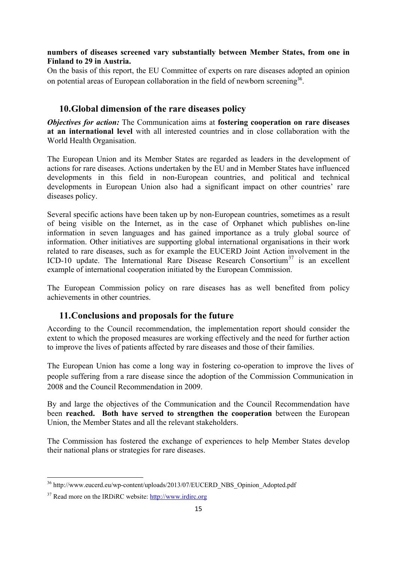#### **numbers of diseases screened vary substantially between Member States, from one in Finland to 29 in Austria.**

On the basis of this report, the EU Committee of experts on rare diseases adopted an opinion on potential areas of European collaboration in the field of newborn screening<sup>[36](#page-15-0)</sup>.

### **10.Global dimension of the rare diseases policy**

*Objectives for action:* The Communication aims at **fostering cooperation on rare diseases at an international level** with all interested countries and in close collaboration with the World Health Organisation.

The European Union and its Member States are regarded as leaders in the development of actions for rare diseases. Actions undertaken by the EU and in Member States have influenced developments in this field in non-European countries, and political and technical developments in European Union also had a significant impact on other countries' rare diseases policy.

Several specific actions have been taken up by non-European countries, sometimes as a result of being visible on the Internet, as in the case of Orphanet which publishes on-line information in seven languages and has gained importance as a truly global source of information. Other initiatives are supporting global international organisations in their work related to rare diseases, such as for example the EUCERD Joint Action involvement in the ICD-10 update. The International Rare Disease Research Consortium<sup>[37](#page-15-1)</sup> is an excellent example of international cooperation initiated by the European Commission.

The European Commission policy on rare diseases has as well benefited from policy achievements in other countries.

### **11.Conclusions and proposals for the future**

According to the Council recommendation, the implementation report should consider the extent to which the proposed measures are working effectively and the need for further action to improve the lives of patients affected by rare diseases and those of their families.

The European Union has come a long way in fostering co-operation to improve the lives of people suffering from a rare disease since the adoption of the Commission Communication in 2008 and the Council Recommendation in 2009.

By and large the objectives of the Communication and the Council Recommendation have been **reached. Both have served to strengthen the cooperation** between the European Union, the Member States and all the relevant stakeholders.

The Commission has fostered the exchange of experiences to help Member States develop their national plans or strategies for rare diseases.

<span id="page-15-0"></span><sup>&</sup>lt;sup>36</sup> http://www.eucerd.eu/wp-content/uploads/2013/07/EUCERD\_NBS\_Opinion\_Adopted.pdf **.** 

<span id="page-15-1"></span><sup>37</sup> Read more on the IRDiRC website: [http://www.irdirc.org](http://www.irdirc.org/)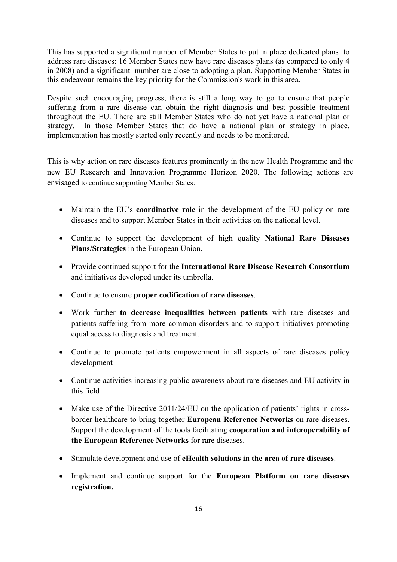This has supported a significant number of Member States to put in place dedicated plans to address rare diseases: 16 Member States now have rare diseases plans (as compared to only 4 in 2008) and a significant number are close to adopting a plan. Supporting Member States in this endeavour remains the key priority for the Commission's work in this area.

Despite such encouraging progress, there is still a long way to go to ensure that people suffering from a rare disease can obtain the right diagnosis and best possible treatment throughout the EU. There are still Member States who do not yet have a national plan or strategy. In those Member States that do have a national plan or strategy in place, implementation has mostly started only recently and needs to be monitored.

This is why action on rare diseases features prominently in the new Health Programme and the new EU Research and Innovation Programme Horizon 2020. The following actions are envisaged to continue supporting Member States:

- Maintain the EU's **coordinative role** in the development of the EU policy on rare diseases and to support Member States in their activities on the national level.
- Continue to support the development of high quality **National Rare Diseases Plans/Strategies** in the European Union.
- Provide continued support for the **International Rare Disease Research Consortium** and initiatives developed under its umbrella.
- Continue to ensure **proper codification of rare diseases**.
- Work further **to decrease inequalities between patients** with rare diseases and patients suffering from more common disorders and to support initiatives promoting equal access to diagnosis and treatment.
- Continue to promote patients empowerment in all aspects of rare diseases policy development
- Continue activities increasing public awareness about rare diseases and EU activity in this field
- Make use of the Directive 2011/24/EU on the application of patients' rights in crossborder healthcare to bring together **European Reference Networks** on rare diseases. Support the development of the tools facilitating **cooperation and interoperability of the European Reference Networks** for rare diseases.
- Stimulate development and use of **eHealth solutions in the area of rare diseases**.
- Implement and continue support for the **European Platform on rare diseases registration.**